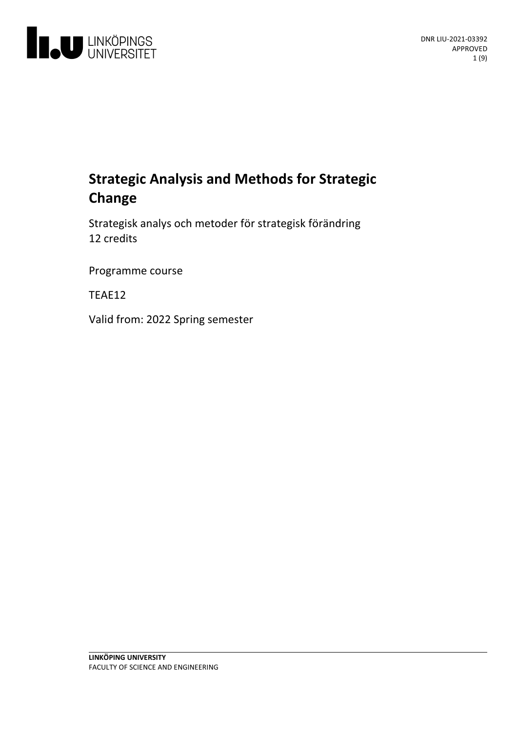

# **Strategic Analysis and Methods for Strategic Change**

Strategiskanalys och metoder för strategisk förändring 12 credits

Programme course

TEAE12

Valid from: 2022 Spring semester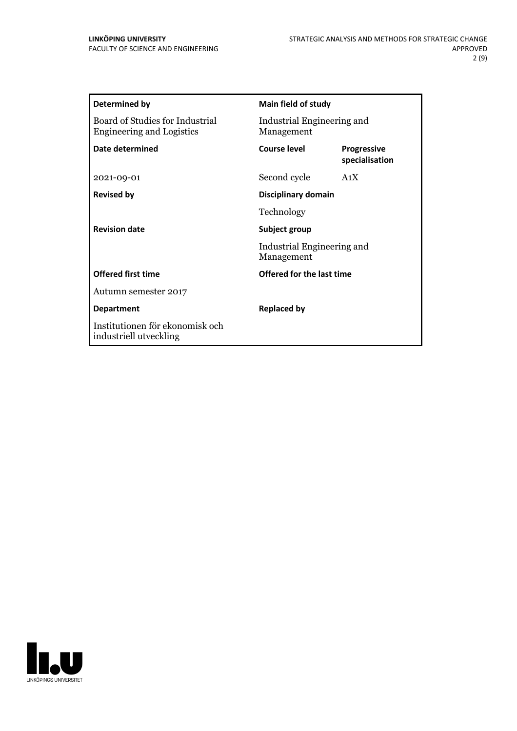| <b>Determined by</b>                                                | Main field of study                                       |                                      |
|---------------------------------------------------------------------|-----------------------------------------------------------|--------------------------------------|
| Board of Studies for Industrial<br><b>Engineering and Logistics</b> | Industrial Engineering and<br>Management                  |                                      |
| Date determined                                                     | Course level                                              | <b>Progressive</b><br>specialisation |
| 2021-09-01                                                          | Second cycle                                              | A1X                                  |
| <b>Revised by</b>                                                   | Disciplinary domain                                       |                                      |
|                                                                     | Technology                                                |                                      |
| <b>Revision date</b>                                                | Subject group<br>Industrial Engineering and<br>Management |                                      |
|                                                                     |                                                           |                                      |
| <b>Offered first time</b>                                           | <b>Offered for the last time</b>                          |                                      |
| Autumn semester 2017                                                |                                                           |                                      |
| <b>Department</b>                                                   | <b>Replaced by</b>                                        |                                      |
| Institutionen för ekonomisk och<br>industriell utveckling           |                                                           |                                      |

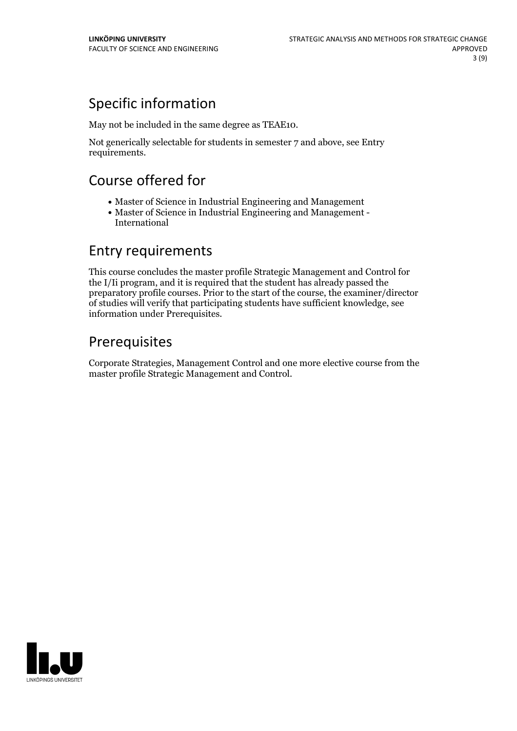# Specific information

May not be included in the same degree as TEAE10.

Not generically selectable for students in semester 7 and above, see Entry requirements.

# Course offered for

- Master of Science in Industrial Engineering and Management
- Master of Science in Industrial Engineering and Management International

## Entry requirements

This course concludes the master profile Strategic Management and Control for the I/Ii program, and it is required that the student has already passed the preparatory profile courses. Prior to the start of the course, the examiner/director of studies will verify that participating students have sufficient knowledge, see information under Prerequisites.

# Prerequisites

Corporate Strategies, Management Control and one more elective course from the master profile Strategic Management and Control.

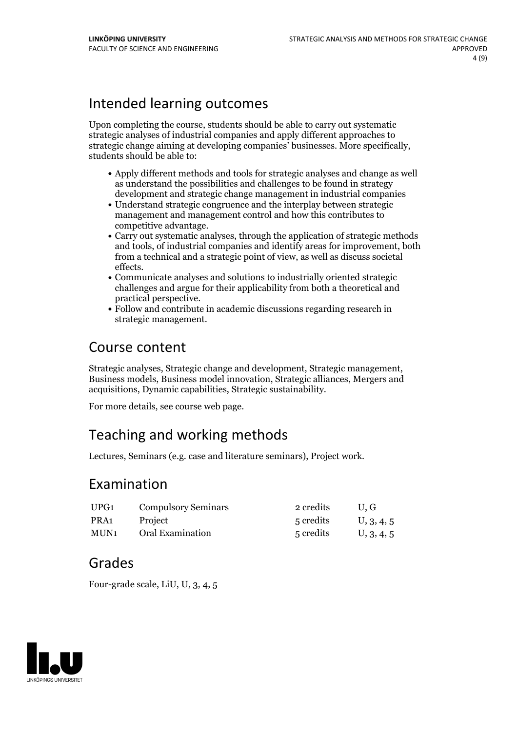## Intended learning outcomes

Upon completing the course, students should be able to carry out systematic strategic analyses of industrial companies and apply different approaches to strategic change aiming at developing companies' businesses. More specifically, students should be able to:

- Apply different methods and tools for strategic analyses and change as well as understand the possibilities and challenges to be found in strategy development and strategic change management in industrial companies
- Understand strategic congruence and the interplay between strategic management and management control and how this contributes to
- competitive advantage.<br>• Carry out systematic analyses, through the application of strategic methods and tools, of industrial companies and identify areas for improvement, both from a technical and a strategic point of view, as well as discuss societal effects. Communicate analyses and solutions to industrially oriented strategic
- challenges and argue for their applicability from both a theoretical and practical perspective.<br>• Follow and contribute in academic discussions regarding research in
- strategic management.

## Course content

Strategic analyses, Strategic change and development, Strategic management, Business models, Business model innovation, Strategic alliances, Mergers and acquisitions, Dynamic capabilities, Strategic sustainability.

For more details, see course web page.

## Teaching and working methods

Lectures, Seminars (e.g. case and literature seminars), Project work.

## Examination

| UPG1 | <b>Compulsory Seminars</b> | 2 credits | U.G        |
|------|----------------------------|-----------|------------|
| PRA1 | Project                    | 5 credits | U, 3, 4, 5 |
| MUN1 | Oral Examination           | 5 credits | U, 3, 4, 5 |

## Grades

Four-grade scale, LiU, U, 3, 4, 5

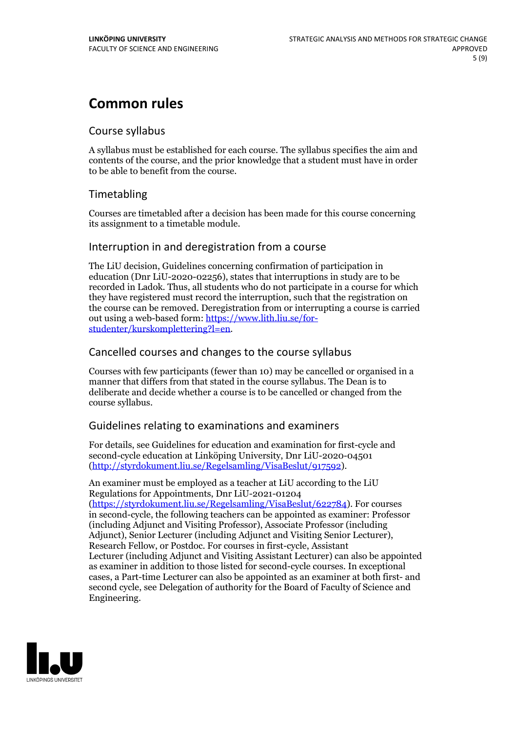# **Common rules**

### Course syllabus

A syllabus must be established for each course. The syllabus specifies the aim and contents of the course, and the prior knowledge that a student must have in order to be able to benefit from the course.

## Timetabling

Courses are timetabled after a decision has been made for this course concerning its assignment to a timetable module.

### Interruption in and deregistration from a course

The LiU decision, Guidelines concerning confirmation of participation in education (Dnr LiU-2020-02256), states that interruptions in study are to be recorded in Ladok. Thus, all students who do not participate in a course for which they have registered must record the interruption, such that the registration on the course can be removed. Deregistration from or interrupting a course is carried out using <sup>a</sup> web-based form: https://www.lith.liu.se/for- [studenter/kurskomplettering?l=en.](https://www.lith.liu.se/for-studenter/kurskomplettering?l=en)

## Cancelled coursesand changes to the course syllabus

Courses with few participants (fewer than 10) may be cancelled or organised in a manner that differs from that stated in the course syllabus. The Dean is to deliberate and decide whether a course is to be cancelled or changed from the course syllabus.

## Guidelines relating to examinations and examiners

For details, see Guidelines for education and examination for first-cycle and second-cycle education at Linköping University, Dnr LiU-2020-04501 [\(http://styrdokument.liu.se/Regelsamling/VisaBeslut/917592\)](http://styrdokument.liu.se/Regelsamling/VisaBeslut/917592).

An examiner must be employed as a teacher at LiU according to the LiU Regulations for Appointments, Dnr LiU-2021-01204 [\(https://styrdokument.liu.se/Regelsamling/VisaBeslut/622784](https://styrdokument.liu.se/Regelsamling/VisaBeslut/622784)). For courses in second-cycle, the following teachers can be appointed as examiner: Professor (including Adjunct and Visiting Professor), Associate Professor (including Adjunct), Senior Lecturer (including Adjunct and Visiting Senior Lecturer), Research Fellow, or Postdoc. For courses in first-cycle, Assistant Lecturer (including Adjunct and Visiting Assistant Lecturer) can also be appointed as examiner in addition to those listed for second-cycle courses. In exceptional cases, a Part-time Lecturer can also be appointed as an examiner at both first- and second cycle, see Delegation of authority for the Board of Faculty of Science and Engineering.

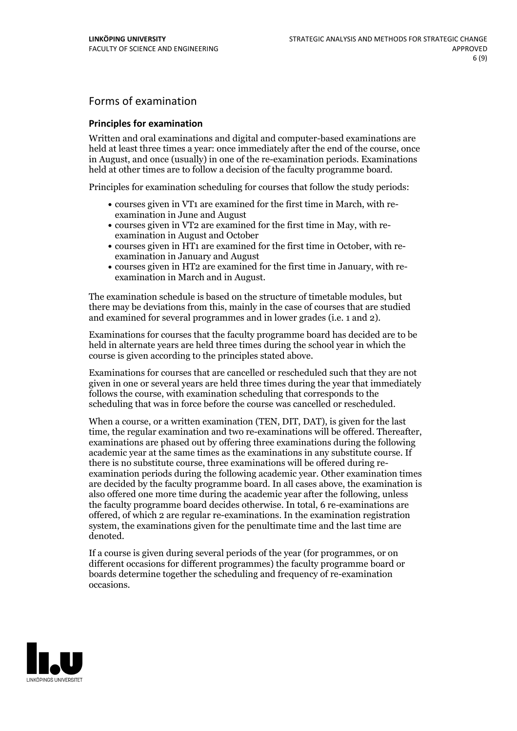## Forms of examination

#### **Principles for examination**

Written and oral examinations and digital and computer-based examinations are held at least three times a year: once immediately after the end of the course, once in August, and once (usually) in one of the re-examination periods. Examinations held at other times are to follow a decision of the faculty programme board.

Principles for examination scheduling for courses that follow the study periods:

- courses given in VT1 are examined for the first time in March, with re-examination in June and August
- courses given in VT2 are examined for the first time in May, with re-examination in August and October
- courses given in HT1 are examined for the first time in October, with re-examination in January and August
- courses given in HT2 are examined for the first time in January, with re-examination in March and in August.

The examination schedule is based on the structure of timetable modules, but there may be deviations from this, mainly in the case of courses that are studied and examined for several programmes and in lower grades (i.e. 1 and 2).

Examinations for courses that the faculty programme board has decided are to be held in alternate years are held three times during the school year in which the course is given according to the principles stated above.

Examinations for courses that are cancelled orrescheduled such that they are not given in one or several years are held three times during the year that immediately follows the course, with examination scheduling that corresponds to the scheduling that was in force before the course was cancelled or rescheduled.

When a course, or a written examination (TEN, DIT, DAT), is given for the last time, the regular examination and two re-examinations will be offered. Thereafter, examinations are phased out by offering three examinations during the following academic year at the same times as the examinations in any substitute course. If there is no substitute course, three examinations will be offered during re- examination periods during the following academic year. Other examination times are decided by the faculty programme board. In all cases above, the examination is also offered one more time during the academic year after the following, unless the faculty programme board decides otherwise. In total, 6 re-examinations are offered, of which 2 are regular re-examinations. In the examination registration system, the examinations given for the penultimate time and the last time are denoted.

If a course is given during several periods of the year (for programmes, or on different occasions for different programmes) the faculty programme board or boards determine together the scheduling and frequency of re-examination occasions.

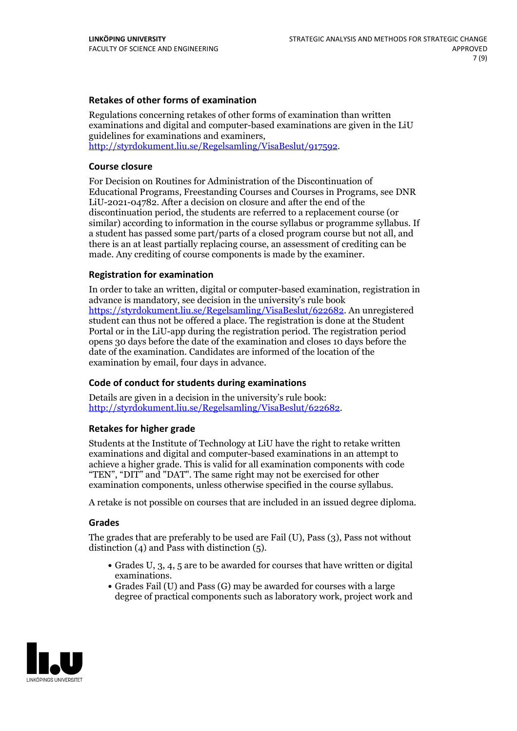### **Retakes of other forms of examination**

Regulations concerning retakes of other forms of examination than written examinations and digital and computer-based examinations are given in the LiU guidelines for examinations and examiners, [http://styrdokument.liu.se/Regelsamling/VisaBeslut/917592.](http://styrdokument.liu.se/Regelsamling/VisaBeslut/917592)

#### **Course closure**

For Decision on Routines for Administration of the Discontinuation of Educational Programs, Freestanding Courses and Courses in Programs, see DNR LiU-2021-04782. After a decision on closure and after the end of the discontinuation period, the students are referred to a replacement course (or similar) according to information in the course syllabus or programme syllabus. If a student has passed some part/parts of a closed program course but not all, and there is an at least partially replacing course, an assessment of crediting can be made. Any crediting of course components is made by the examiner.

### **Registration for examination**

In order to take an written, digital or computer-based examination, registration in advance is mandatory, see decision in the university's rule book [https://styrdokument.liu.se/Regelsamling/VisaBeslut/622682.](https://styrdokument.liu.se/Regelsamling/VisaBeslut/622682) An unregistered student can thus not be offered a place. The registration is done at the Student Portal or in the LiU-app during the registration period. The registration period opens 30 days before the date of the examination and closes 10 days before the date of the examination. Candidates are informed of the location of the examination by email, four days in advance.

### **Code of conduct for students during examinations**

Details are given in a decision in the university's rule book: <http://styrdokument.liu.se/Regelsamling/VisaBeslut/622682>.

#### **Retakes for higher grade**

Students at the Institute of Technology at LiU have the right to retake written examinations and digital and computer-based examinations in an attempt to achieve a higher grade. This is valid for all examination components with code "TEN", "DIT" and "DAT". The same right may not be exercised for other examination components, unless otherwise specified in the course syllabus.

A retake is not possible on courses that are included in an issued degree diploma.

#### **Grades**

The grades that are preferably to be used are Fail (U), Pass (3), Pass not without distinction  $(4)$  and Pass with distinction  $(5)$ .

- Grades U, 3, 4, 5 are to be awarded for courses that have written or digital examinations.<br>• Grades Fail (U) and Pass (G) may be awarded for courses with a large
- degree of practical components such as laboratory work, project work and

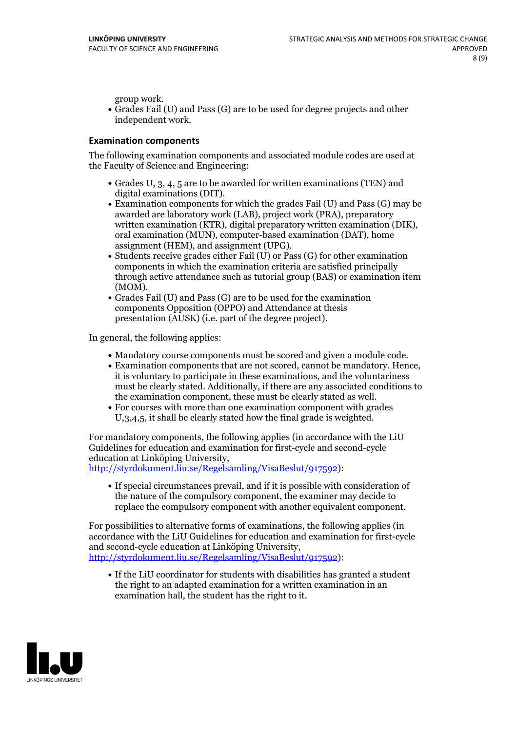group work.<br>• Grades Fail (U) and Pass (G) are to be used for degree projects and other independent work.

### **Examination components**

The following examination components and associated module codes are used at the Faculty of Science and Engineering:

- Grades U, 3, 4, 5 are to be awarded for written examinations (TEN) and
- digital examinations (DIT).<br>• Examination components for which the grades Fail (U) and Pass (G) may be awarded are laboratory work (LAB), project work (PRA), preparatory written examination (KTR), digital preparatory written examination (DIK), oral examination (MUN), computer-based examination (DAT), home
- assignment (HEM), and assignment (UPG).<br>• Students receive grades either Fail (U) or Pass (G) for other examination components in which the examination criteria are satisfied principally through active attendance such as tutorial group (BAS) or examination item
- (MOM).<br>• Grades Fail (U) and Pass (G) are to be used for the examination components Opposition (OPPO) and Attendance at thesis presentation (AUSK) (i.e. part of the degree project).

In general, the following applies:

- 
- Mandatory course components must be scored and given <sup>a</sup> module code. Examination components that are not scored, cannot be mandatory. Hence, it is voluntary to participate in these examinations, and the voluntariness must be clearly stated. Additionally, if there are any associated conditions to
- the examination component, these must be clearly stated as well.<br>• For courses with more than one examination component with grades U,3,4,5, it shall be clearly stated how the final grade is weighted.

For mandatory components, the following applies (in accordance with the LiU Guidelines for education and examination for first-cycle and second-cycle

[http://styrdokument.liu.se/Regelsamling/VisaBeslut/917592\)](http://styrdokument.liu.se/Regelsamling/VisaBeslut/917592):

If special circumstances prevail, and if it is possible with consideration of the nature of the compulsory component, the examiner may decide to replace the compulsory component with another equivalent component.

For possibilities to alternative forms of examinations, the following applies (in accordance with the LiU Guidelines for education and examination for first-cycle [http://styrdokument.liu.se/Regelsamling/VisaBeslut/917592\)](http://styrdokument.liu.se/Regelsamling/VisaBeslut/917592):

If the LiU coordinator for students with disabilities has granted a student the right to an adapted examination for a written examination in an examination hall, the student has the right to it.